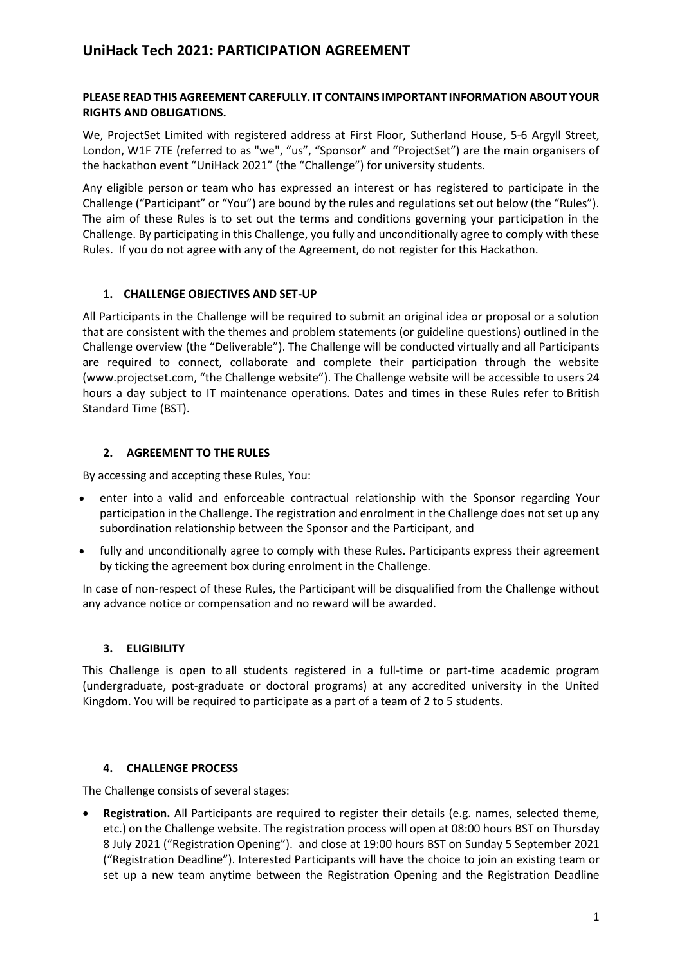## **PLEASE READ THIS AGREEMENT CAREFULLY. IT CONTAINS IMPORTANT INFORMATION ABOUT YOUR RIGHTS AND OBLIGATIONS.**

We, ProjectSet Limited with registered address at First Floor, Sutherland House, 5-6 Argyll Street, London, W1F 7TE (referred to as "we", "us", "Sponsor" and "ProjectSet") are the main organisers of the hackathon event "UniHack 2021" (the "Challenge") for university students.

Any eligible person or team who has expressed an interest or has registered to participate in the Challenge ("Participant" or "You") are bound by the rules and regulations set out below (the "Rules"). The aim of these Rules is to set out the terms and conditions governing your participation in the Challenge. By participating in this Challenge, you fully and unconditionally agree to comply with these Rules. If you do not agree with any of the Agreement, do not register for this Hackathon.

## **1. CHALLENGE OBJECTIVES AND SET-UP**

All Participants in the Challenge will be required to submit an original idea or proposal or a solution that are consistent with the themes and problem statements (or guideline questions) outlined in the Challenge overview (the "Deliverable"). The Challenge will be conducted virtually and all Participants are required to connect, collaborate and complete their participation through the website (www.projectset.com, "the Challenge website"). The Challenge website will be accessible to users 24 hours a day subject to IT maintenance operations. Dates and times in these Rules refer to British Standard Time (BST).

## **2. AGREEMENT TO THE RULES**

By accessing and accepting these Rules, You:

- enter into a valid and enforceable contractual relationship with the Sponsor regarding Your participation in the Challenge. The registration and enrolment in the Challenge does not set up any subordination relationship between the Sponsor and the Participant, and
- fully and unconditionally agree to comply with these Rules. Participants express their agreement by ticking the agreement box during enrolment in the Challenge.

In case of non-respect of these Rules, the Participant will be disqualified from the Challenge without any advance notice or compensation and no reward will be awarded.

## **3. ELIGIBILITY**

This Challenge is open to all students registered in a full-time or part-time academic program (undergraduate, post-graduate or doctoral programs) at any accredited university in the United Kingdom. You will be required to participate as a part of a team of 2 to 5 students.

## **4. CHALLENGE PROCESS**

The Challenge consists of several stages:

• **Registration.** All Participants are required to register their details (e.g. names, selected theme, etc.) on the Challenge website. The registration process will open at 08:00 hours BST on Thursday 8 July 2021 ("Registration Opening"). and close at 19:00 hours BST on Sunday 5 September 2021 ("Registration Deadline"). Interested Participants will have the choice to join an existing team or set up a new team anytime between the Registration Opening and the Registration Deadline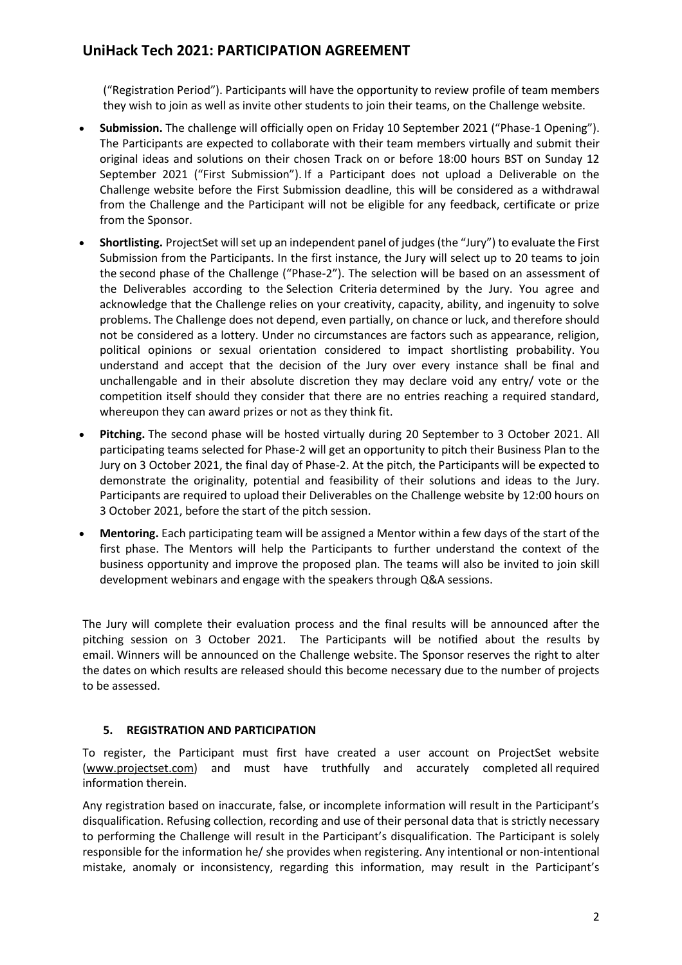("Registration Period"). Participants will have the opportunity to review profile of team members they wish to join as well as invite other students to join their teams, on the Challenge website.

- **Submission.** The challenge will officially open on Friday 10 September 2021 ("Phase-1 Opening"). The Participants are expected to collaborate with their team members virtually and submit their original ideas and solutions on their chosen Track on or before 18:00 hours BST on Sunday 12 September 2021 ("First Submission"). If a Participant does not upload a Deliverable on the Challenge website before the First Submission deadline, this will be considered as a withdrawal from the Challenge and the Participant will not be eligible for any feedback, certificate or prize from the Sponsor.
- **Shortlisting.** ProjectSet will set up an independent panel of judges (the "Jury") to evaluate the First Submission from the Participants. In the first instance, the Jury will select up to 20 teams to join the second phase of the Challenge ("Phase-2"). The selection will be based on an assessment of the Deliverables according to the Selection Criteria determined by the Jury. You agree and acknowledge that the Challenge relies on your creativity, capacity, ability, and ingenuity to solve problems. The Challenge does not depend, even partially, on chance or luck, and therefore should not be considered as a lottery. Under no circumstances are factors such as appearance, religion, political opinions or sexual orientation considered to impact shortlisting probability.  You understand and accept that the decision of the Jury over every instance shall be final and unchallengable and in their absolute discretion they may declare void any entry/ vote or the competition itself should they consider that there are no entries reaching a required standard, whereupon they can award prizes or not as they think fit.
- **Pitching.** The second phase will be hosted virtually during 20 September to 3 October 2021. All participating teams selected for Phase-2 will get an opportunity to pitch their Business Plan to the Jury on 3 October 2021, the final day of Phase-2. At the pitch, the Participants will be expected to demonstrate the originality, potential and feasibility of their solutions and ideas to the Jury. Participants are required to upload their Deliverables on the Challenge website by 12:00 hours on 3 October 2021, before the start of the pitch session.
- **Mentoring.** Each participating team will be assigned a Mentor within a few days of the start of the first phase. The Mentors will help the Participants to further understand the context of the business opportunity and improve the proposed plan. The teams will also be invited to join skill development webinars and engage with the speakers through Q&A sessions.

The Jury will complete their evaluation process and the final results will be announced after the pitching session on 3 October 2021. The Participants will be notified about the results by email. Winners will be announced on the Challenge website. The Sponsor reserves the right to alter the dates on which results are released should this become necessary due to the number of projects to be assessed.

## **5. REGISTRATION AND PARTICIPATION**

To register, the Participant must first have created a user account on ProjectSet website [\(www.projectset.com\)](http://www.projectset.com/) and must have truthfully and accurately completed all required information therein.

Any registration based on inaccurate, false, or incomplete information will result in the Participant's disqualification. Refusing collection, recording and use of their personal data that is strictly necessary to performing the Challenge will result in the Participant's disqualification. The Participant is solely responsible for the information he/ she provides when registering. Any intentional or non-intentional mistake, anomaly or inconsistency, regarding this information, may result in the Participant's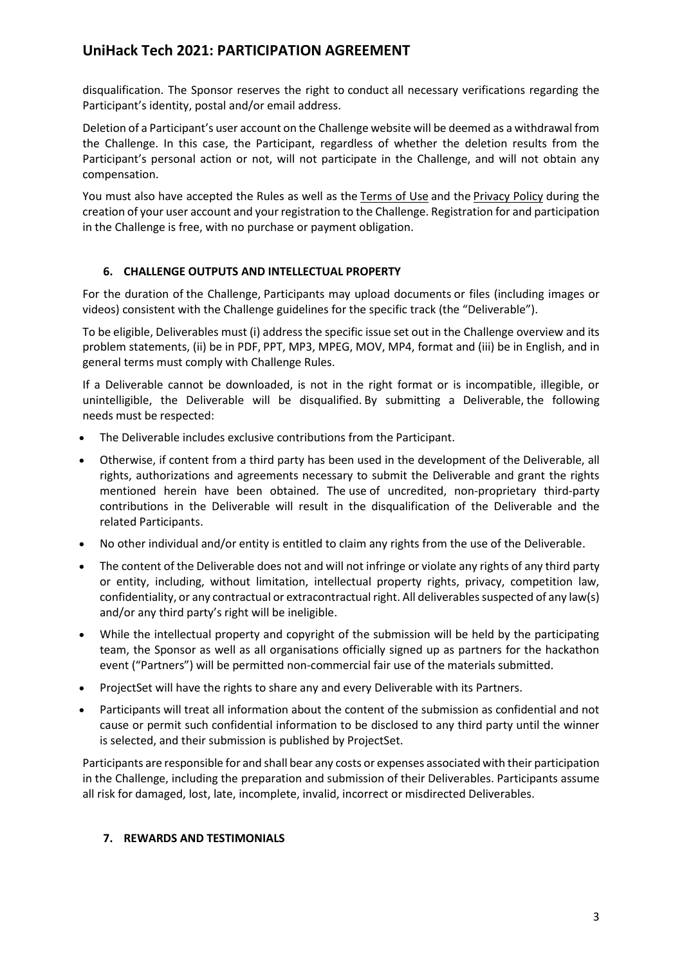disqualification. The Sponsor reserves the right to conduct all necessary verifications regarding the Participant's identity, postal and/or email address.

Deletion of a Participant's user account on the Challenge website will be deemed as a withdrawal from the Challenge. In this case, the Participant, regardless of whether the deletion results from the Participant's personal action or not, will not participate in the Challenge, and will not obtain any compensation.

You must also have accepted the Rules as well as the [Terms of Use](https://projectset.com/terms-of-use) and the [Privacy Policy](https://projectset.com/privacy-policy) during the creation of your user account and your registration to the Challenge. Registration for and participation in the Challenge is free, with no purchase or payment obligation.

## **6. CHALLENGE OUTPUTS AND INTELLECTUAL PROPERTY**

For the duration of the Challenge, Participants may upload documents or files (including images or videos) consistent with the Challenge guidelines for the specific track (the "Deliverable").  

To be eligible, Deliverables must (i) address the specific issue set out in the Challenge overview and its problem statements, (ii) be in PDF, PPT, MP3, MPEG, MOV, MP4, format and (iii) be in English, and in general terms must comply with Challenge Rules.  

If a Deliverable cannot be downloaded, is not in the right format or is incompatible, illegible, or unintelligible, the Deliverable will be disqualified. By submitting a Deliverable, the following needs must be respected:

- The Deliverable includes exclusive contributions from the Participant.
- Otherwise, if content from a third party has been used in the development of the Deliverable, all rights, authorizations and agreements necessary to submit the Deliverable and grant the rights mentioned herein have been obtained. The use of uncredited, non-proprietary third-party contributions in the Deliverable will result in the disqualification of the Deliverable and the related Participants.
- No other individual and/or entity is entitled to claim any rights from the use of the Deliverable.
- The content of the Deliverable does not and will not infringe or violate any rights of any third party or entity, including, without limitation, intellectual property rights, privacy, competition law, confidentiality, or any contractual or extracontractual right. All deliverables suspected of any law(s) and/or any third party's right will be ineligible.
- While the intellectual property and copyright of the submission will be held by the participating team, the Sponsor as well as all organisations officially signed up as partners for the hackathon event ("Partners") will be permitted non-commercial fair use of the materials submitted.
- ProjectSet will have the rights to share any and every Deliverable with its Partners.
- Participants will treat all information about the content of the submission as confidential and not cause or permit such confidential information to be disclosed to any third party until the winner is selected, and their submission is published by ProjectSet.

Participants are responsible for and shall bear any costs or expenses associated with their participation in the Challenge, including the preparation and submission of their Deliverables. Participants assume all risk for damaged, lost, late, incomplete, invalid, incorrect or misdirected Deliverables.  

#### **7. REWARDS AND TESTIMONIALS**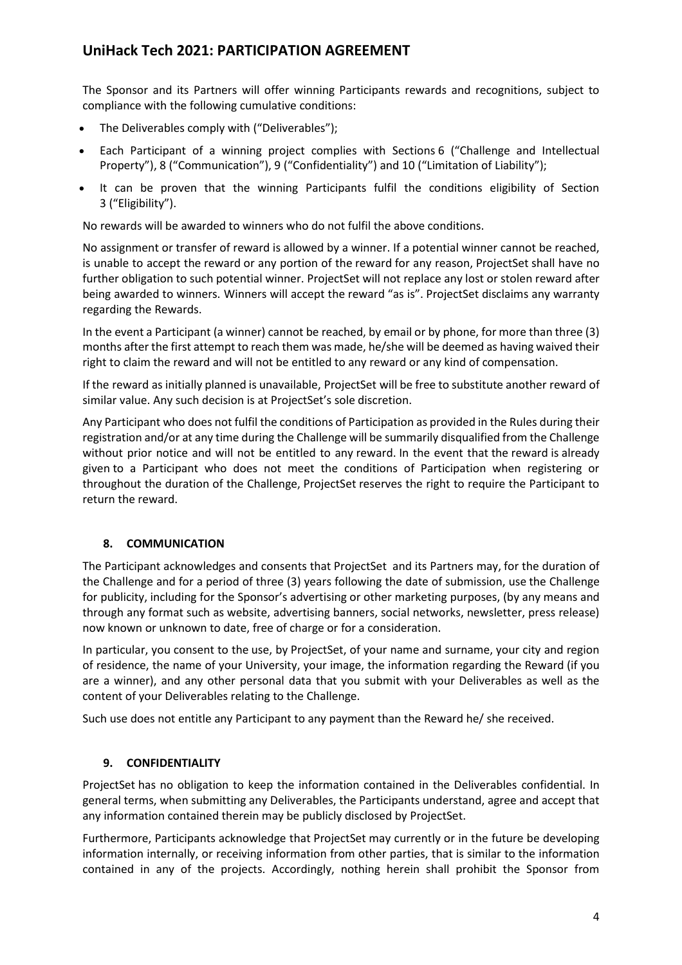The Sponsor and its Partners will offer winning Participants rewards and recognitions, subject to compliance with the following cumulative conditions:

- The Deliverables comply with ("Deliverables");
- Each Participant of a winning project complies with Sections 6 ("Challenge and Intellectual Property"), 8 ("Communication"), 9 ("Confidentiality") and 10 ("Limitation of Liability");
- It can be proven that the winning Participants fulfil the conditions eligibility of Section 3 ("Eligibility").

No rewards will be awarded to winners who do not fulfil the above conditions.

No assignment or transfer of reward is allowed by a winner. If a potential winner cannot be reached, is unable to accept the reward or any portion of the reward for any reason, ProjectSet shall have no further obligation to such potential winner. ProjectSet will not replace any lost or stolen reward after being awarded to winners. Winners will accept the reward "as is". ProjectSet disclaims any warranty regarding the Rewards.  

In the event a Participant (a winner) cannot be reached, by email or by phone, for more than three (3) months after the first attempt to reach them was made, he/she will be deemed as having waived their right to claim the reward and will not be entitled to any reward or any kind of compensation.   

If the reward as initially planned is unavailable, ProjectSet will be free to substitute another reward of similar value. Any such decision is at ProjectSet's sole discretion.

Any Participant who does not fulfil the conditions of Participation as provided in the Rules during their registration and/or at any time during the Challenge will be summarily disqualified from the Challenge without prior notice and will not be entitled to any reward. In the event that the reward is already given to a Participant who does not meet the conditions of Participation when registering or throughout the duration of the Challenge, ProjectSet reserves the right to require the Participant to return the reward.

## **8. COMMUNICATION**

The Participant acknowledges and consents that ProjectSet and its Partners may, for the duration of the Challenge and for a period of three (3) years following the date of submission, use the Challenge for publicity, including for the Sponsor's advertising or other marketing purposes, (by any means and through any format such as website, advertising banners, social networks, newsletter, press release) now known or unknown to date, free of charge or for a consideration.

In particular, you consent to the use, by ProjectSet, of your name and surname, your city and region of residence, the name of your University, your image, the information regarding the Reward (if you are a winner), and any other personal data that you submit with your Deliverables as well as the content of your Deliverables relating to the Challenge.  

Such use does not entitle any Participant to any payment than the Reward he/ she received.

## **9. CONFIDENTIALITY**

ProjectSet has no obligation to keep the information contained in the Deliverables confidential. In general terms, when submitting any Deliverables, the Participants understand, agree and accept that any information contained therein may be publicly disclosed by ProjectSet.

Furthermore, Participants acknowledge that ProjectSet may currently or in the future be developing information internally, or receiving information from other parties, that is similar to the information contained in any of the projects. Accordingly, nothing herein shall prohibit the Sponsor from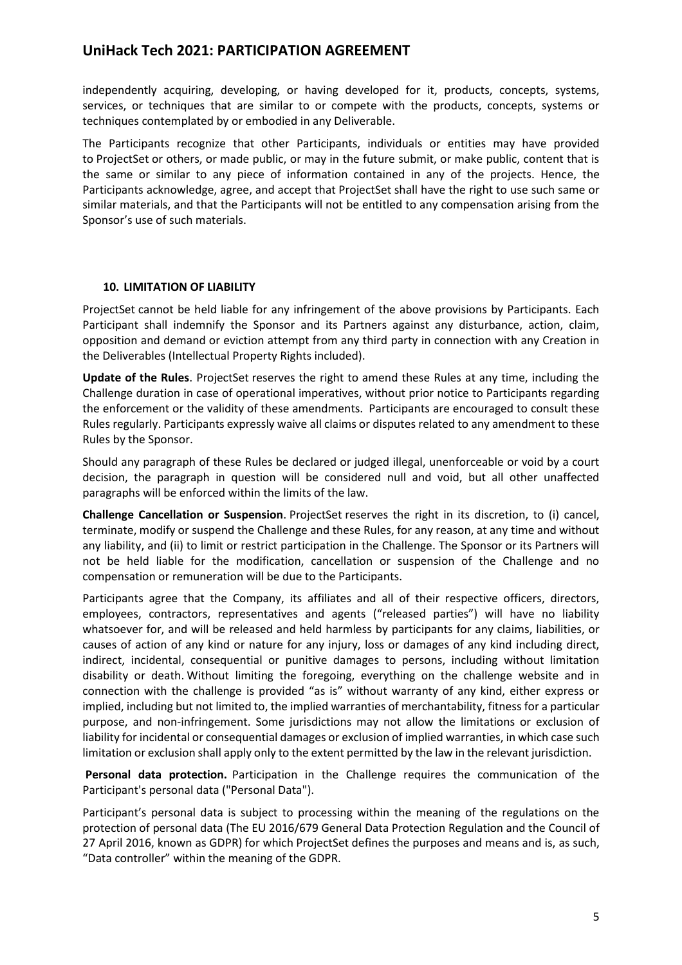independently acquiring, developing, or having developed for it, products, concepts, systems, services, or techniques that are similar to or compete with the products, concepts, systems or techniques contemplated by or embodied in any Deliverable.  

The Participants recognize that other Participants, individuals or entities may have provided to ProjectSet or others, or made public, or may in the future submit, or make public, content that is the same or similar to any piece of information contained in any of the projects. Hence, the Participants acknowledge, agree, and accept that ProjectSet shall have the right to use such same or similar materials, and that the Participants will not be entitled to any compensation arising from the Sponsor's use of such materials.  

#### **10. LIMITATION OF LIABILITY**

ProjectSet cannot be held liable for any infringement of the above provisions by Participants. Each Participant shall indemnify the Sponsor and its Partners against any disturbance, action, claim, opposition and demand or eviction attempt from any third party in connection with any Creation in the Deliverables (Intellectual Property Rights included).

**Update of the Rules**. ProjectSet reserves the right to amend these Rules at any time, including the Challenge duration in case of operational imperatives, without prior notice to Participants regarding the enforcement or the validity of these amendments. Participants are encouraged to consult these Rules regularly. Participants expressly waive all claims or disputes related to any amendment to these Rules by the Sponsor.  

Should any paragraph of these Rules be declared or judged illegal, unenforceable or void by a court decision, the paragraph in question will be considered null and void, but all other unaffected paragraphs will be enforced within the limits of the law.

**Challenge Cancellation or Suspension**. ProjectSet reserves the right in its discretion, to (i) cancel, terminate, modify or suspend the Challenge and these Rules, for any reason, at any time and without any liability, and (ii) to limit or restrict participation in the Challenge. The Sponsor or its Partners will not be held liable for the modification, cancellation or suspension of the Challenge and no compensation or remuneration will be due to the Participants.

Participants agree that the Company, its affiliates and all of their respective officers, directors, employees, contractors, representatives and agents ("released parties") will have no liability whatsoever for, and will be released and held harmless by participants for any claims, liabilities, or causes of action of any kind or nature for any injury, loss or damages of any kind including direct, indirect, incidental, consequential or punitive damages to persons, including without limitation disability or death. Without limiting the foregoing, everything on the challenge website and in connection with the challenge is provided "as is" without warranty of any kind, either express or implied, including but not limited to, the implied warranties of merchantability, fitness for a particular purpose, and non-infringement. Some jurisdictions may not allow the limitations or exclusion of liability for incidental or consequential damages or exclusion of implied warranties, in which case such limitation or exclusion shall apply only to the extent permitted by the law in the relevant jurisdiction.  

**Personal data protection.**Participation in the Challenge requires the communication of the Participant's personal data ("Personal Data").

Participant's personal data is subject to processing within the meaning of the regulations on the protection of personal data (The EU 2016/679 General Data Protection Regulation and the Council of 27 April 2016, known as GDPR) for which ProjectSet defines the purposes and means and is, as such, "Data controller" within the meaning of the GDPR.